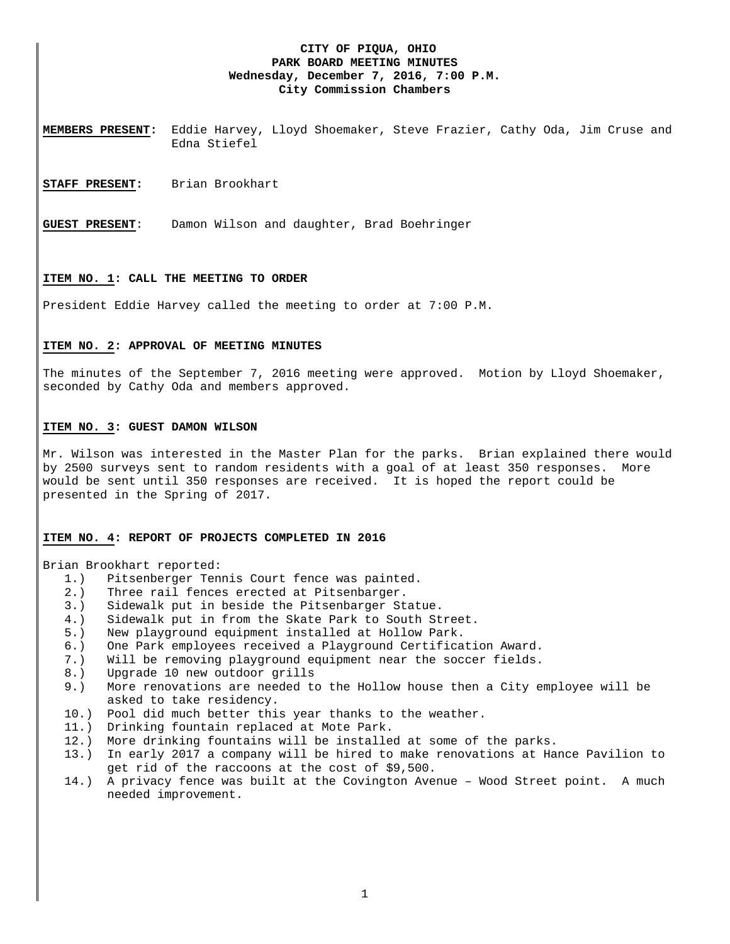# **CITY OF PIQUA, OHIO PARK BOARD MEETING MINUTES Wednesday, December 7, 2016, 7:00 P.M. City Commission Chambers**

**MEMBERS PRESENT:** Eddie Harvey, Lloyd Shoemaker, Steve Frazier, Cathy Oda, Jim Cruse and Edna Stiefel

**STAFF PRESENT:** Brian Brookhart

**GUEST PRESENT**: Damon Wilson and daughter, Brad Boehringer

#### **ITEM NO. 1: CALL THE MEETING TO ORDER**

President Eddie Harvey called the meeting to order at 7:00 P.M.

#### **ITEM NO. 2: APPROVAL OF MEETING MINUTES**

The minutes of the September 7, 2016 meeting were approved. Motion by Lloyd Shoemaker, seconded by Cathy Oda and members approved.

#### **ITEM NO. 3: GUEST DAMON WILSON**

Mr. Wilson was interested in the Master Plan for the parks. Brian explained there would by 2500 surveys sent to random residents with a goal of at least 350 responses. More would be sent until 350 responses are received. It is hoped the report could be presented in the Spring of 2017.

### **ITEM NO. 4: REPORT OF PROJECTS COMPLETED IN 2016**

Brian Brookhart reported:

- 1.) Pitsenberger Tennis Court fence was painted.
- 2.) Three rail fences erected at Pitsenbarger.
- 3.) Sidewalk put in beside the Pitsenbarger Statue.
- 4.) Sidewalk put in from the Skate Park to South Street.
- 5.) New playground equipment installed at Hollow Park.
- 6.) One Park employees received a Playground Certification Award.
- 7.) Will be removing playground equipment near the soccer fields.
- 8.) Upgrade 10 new outdoor grills
- 9.) More renovations are needed to the Hollow house then a City employee will be asked to take residency.
- 10.) Pool did much better this year thanks to the weather.
- 11.) Drinking fountain replaced at Mote Park.
- 12.) More drinking fountains will be installed at some of the parks.
- 13.) In early 2017 a company will be hired to make renovations at Hance Pavilion to get rid of the raccoons at the cost of \$9,500.
- 14.) A privacy fence was built at the Covington Avenue Wood Street point. A much needed improvement.